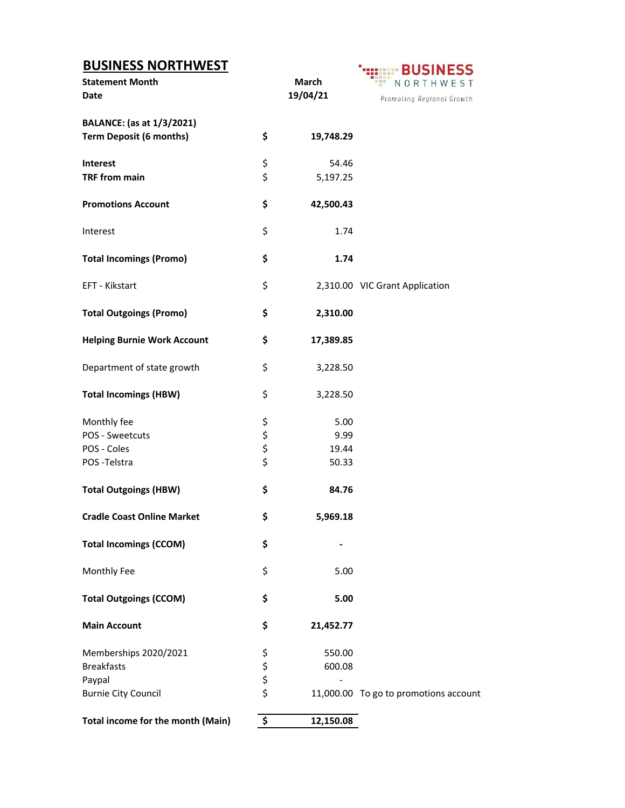| <b>BUSINESS NORTHWEST</b>          |             |           | <b>BUSINESS</b>                       |
|------------------------------------|-------------|-----------|---------------------------------------|
| <b>Statement Month</b>             |             | March     | NORTHWEST                             |
| <b>Date</b>                        |             | 19/04/21  | Promoting Regional Growth             |
|                                    |             |           |                                       |
| <b>BALANCE:</b> (as at 1/3/2021)   |             |           |                                       |
| <b>Term Deposit (6 months)</b>     | \$          | 19,748.29 |                                       |
| <b>Interest</b>                    | \$          | 54.46     |                                       |
| <b>TRF from main</b>               | \$          | 5,197.25  |                                       |
|                                    |             |           |                                       |
| <b>Promotions Account</b>          | \$          | 42,500.43 |                                       |
| Interest                           | \$          | 1.74      |                                       |
|                                    | \$          | 1.74      |                                       |
| <b>Total Incomings (Promo)</b>     |             |           |                                       |
| EFT - Kikstart                     | \$          |           | 2,310.00 VIC Grant Application        |
| <b>Total Outgoings (Promo)</b>     | \$          | 2,310.00  |                                       |
|                                    |             |           |                                       |
| <b>Helping Burnie Work Account</b> | \$          | 17,389.85 |                                       |
| Department of state growth         | \$          | 3,228.50  |                                       |
| <b>Total Incomings (HBW)</b>       | \$          | 3,228.50  |                                       |
| Monthly fee                        |             | 5.00      |                                       |
| POS - Sweetcuts                    |             | 9.99      |                                       |
| POS - Coles                        |             | 19.44     |                                       |
| POS-Telstra                        | \$\$\$\$    | 50.33     |                                       |
|                                    |             |           |                                       |
| <b>Total Outgoings (HBW)</b>       | \$          | 84.76     |                                       |
| <b>Cradle Coast Online Market</b>  | Ş           | 5,969.18  |                                       |
| <b>Total Incomings (CCOM)</b>      | \$          |           |                                       |
|                                    |             |           |                                       |
| Monthly Fee                        | \$          | 5.00      |                                       |
| <b>Total Outgoings (CCOM)</b>      | \$          | 5.00      |                                       |
| <b>Main Account</b>                | \$          | 21,452.77 |                                       |
| Memberships 2020/2021              |             | 550.00    |                                       |
| <b>Breakfasts</b>                  |             | 600.08    |                                       |
| Paypal                             |             |           |                                       |
| <b>Burnie City Council</b>         | \$ \$ \$ \$ |           | 11,000.00 To go to promotions account |
| Total income for the month (Main)  | \$          | 12,150.08 |                                       |
|                                    |             |           |                                       |